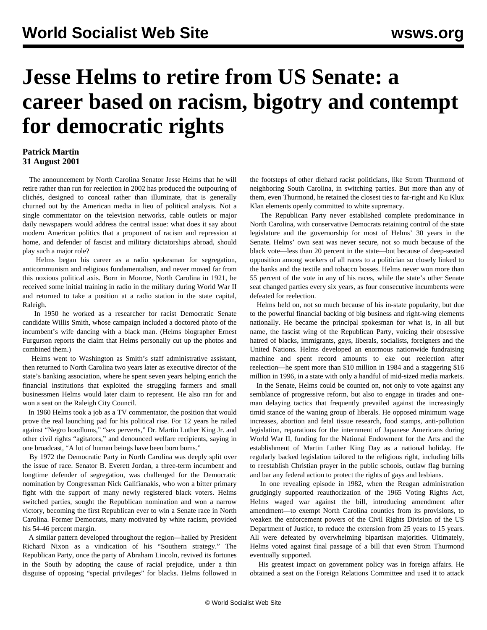## **Jesse Helms to retire from US Senate: a career based on racism, bigotry and contempt for democratic rights**

## **Patrick Martin 31 August 2001**

 The announcement by North Carolina Senator Jesse Helms that he will retire rather than run for reelection in 2002 has produced the outpouring of clichés, designed to conceal rather than illuminate, that is generally churned out by the American media in lieu of political analysis. Not a single commentator on the television networks, cable outlets or major daily newspapers would address the central issue: what does it say about modern American politics that a proponent of racism and repression at home, and defender of fascist and military dictatorships abroad, should play such a major role?

 Helms began his career as a radio spokesman for segregation, anticommunism and religious fundamentalism, and never moved far from this noxious political axis. Born in Monroe, North Carolina in 1921, he received some initial training in radio in the military during World War II and returned to take a position at a radio station in the state capital, Raleigh.

 In 1950 he worked as a researcher for racist Democratic Senate candidate Willis Smith, whose campaign included a doctored photo of the incumbent's wife dancing with a black man. (Helms biographer Ernest Furgurson reports the claim that Helms personally cut up the photos and combined them.)

 Helms went to Washington as Smith's staff administrative assistant, then returned to North Carolina two years later as executive director of the state's banking association, where he spent seven years helping enrich the financial institutions that exploited the struggling farmers and small businessmen Helms would later claim to represent. He also ran for and won a seat on the Raleigh City Council.

 In 1960 Helms took a job as a TV commentator, the position that would prove the real launching pad for his political rise. For 12 years he railed against "Negro hoodlums," "sex perverts," Dr. Martin Luther King Jr. and other civil rights "agitators," and denounced welfare recipients, saying in one broadcast, "A lot of human beings have been born bums."

 By 1972 the Democratic Party in North Carolina was deeply split over the issue of race. Senator B. Everett Jordan, a three-term incumbent and longtime defender of segregation, was challenged for the Democratic nomination by Congressman Nick Galifianakis, who won a bitter primary fight with the support of many newly registered black voters. Helms switched parties, sought the Republican nomination and won a narrow victory, becoming the first Republican ever to win a Senate race in North Carolina. Former Democrats, many motivated by white racism, provided his 54-46 percent margin.

 A similar pattern developed throughout the region—hailed by President Richard Nixon as a vindication of his "Southern strategy." The Republican Party, once the party of Abraham Lincoln, revived its fortunes in the South by adopting the cause of racial prejudice, under a thin disguise of opposing "special privileges" for blacks. Helms followed in the footsteps of other diehard racist politicians, like Strom Thurmond of neighboring South Carolina, in switching parties. But more than any of them, even Thurmond, he retained the closest ties to far-right and Ku Klux Klan elements openly committed to white supremacy.

 The Republican Party never established complete predominance in North Carolina, with conservative Democrats retaining control of the state legislature and the governorship for most of Helms' 30 years in the Senate. Helms' own seat was never secure, not so much because of the black vote—less than 20 percent in the state—but because of deep-seated opposition among workers of all races to a politician so closely linked to the banks and the textile and tobacco bosses. Helms never won more than 55 percent of the vote in any of his races, while the state's other Senate seat changed parties every six years, as four consecutive incumbents were defeated for reelection.

 Helms held on, not so much because of his in-state popularity, but due to the powerful financial backing of big business and right-wing elements nationally. He became the principal spokesman for what is, in all but name, the fascist wing of the Republican Party, voicing their obsessive hatred of blacks, immigrants, gays, liberals, socialists, foreigners and the United Nations. Helms developed an enormous nationwide fundraising machine and spent record amounts to eke out reelection after reelection—he spent more than \$10 million in 1984 and a staggering \$16 million in 1996, in a state with only a handful of mid-sized media markets.

 In the Senate, Helms could be counted on, not only to vote against any semblance of progressive reform, but also to engage in tirades and oneman delaying tactics that frequently prevailed against the increasingly timid stance of the waning group of liberals. He opposed minimum wage increases, abortion and fetal tissue research, food stamps, anti-pollution legislation, reparations for the internment of Japanese Americans during World War II, funding for the National Endowment for the Arts and the establishment of Martin Luther King Day as a national holiday. He regularly backed legislation tailored to the religious right, including bills to reestablish Christian prayer in the public schools, outlaw flag burning and bar any federal action to protect the rights of gays and lesbians.

 In one revealing episode in 1982, when the Reagan administration grudgingly supported reauthorization of the 1965 Voting Rights Act, Helms waged war against the bill, introducing amendment after amendment—to exempt North Carolina counties from its provisions, to weaken the enforcement powers of the Civil Rights Division of the US Department of Justice, to reduce the extension from 25 years to 15 years. All were defeated by overwhelming bipartisan majorities. Ultimately, Helms voted against final passage of a bill that even Strom Thurmond eventually supported.

 His greatest impact on government policy was in foreign affairs. He obtained a seat on the Foreign Relations Committee and used it to attack